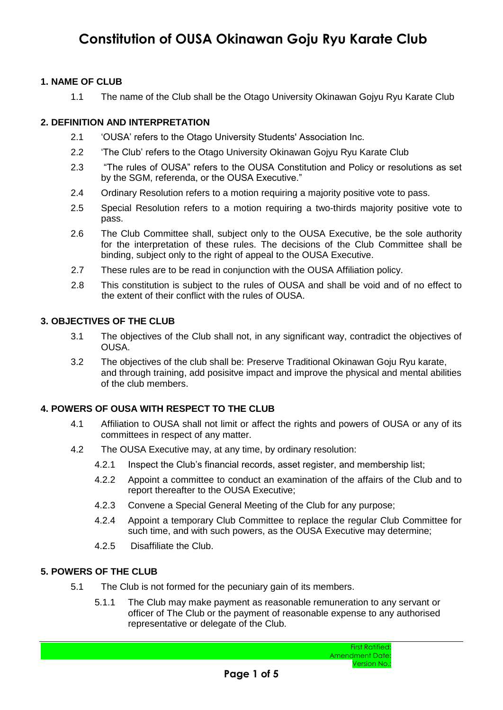#### **1. NAME OF CLUB**

1.1 The name of the Club shall be the Otago University Okinawan Gojyu Ryu Karate Club

#### **2. DEFINITION AND INTERPRETATION**

- 2.1 'OUSA' refers to the Otago University Students' Association Inc.
- 2.2 'The Club' refers to the Otago University Okinawan Gojyu Ryu Karate Club
- 2.3 "The rules of OUSA" refers to the OUSA Constitution and Policy or resolutions as set by the SGM, referenda, or the OUSA Executive."
- 2.4 Ordinary Resolution refers to a motion requiring a majority positive vote to pass.
- 2.5 Special Resolution refers to a motion requiring a two-thirds majority positive vote to pass.
- 2.6 The Club Committee shall, subject only to the OUSA Executive, be the sole authority for the interpretation of these rules. The decisions of the Club Committee shall be binding, subject only to the right of appeal to the OUSA Executive.
- 2.7 These rules are to be read in conjunction with the OUSA Affiliation policy.
- 2.8 This constitution is subject to the rules of OUSA and shall be void and of no effect to the extent of their conflict with the rules of OUSA.

#### **3. OBJECTIVES OF THE CLUB**

- 3.1 The objectives of the Club shall not, in any significant way, contradict the objectives of OUSA.
- 3.2 The objectives of the club shall be: Preserve Traditional Okinawan Goju Ryu karate, and through training, add posisitve impact and improve the physical and mental abilities of the club members.

#### **4. POWERS OF OUSA WITH RESPECT TO THE CLUB**

- 4.1 Affiliation to OUSA shall not limit or affect the rights and powers of OUSA or any of its committees in respect of any matter.
- 4.2 The OUSA Executive may, at any time, by ordinary resolution:
	- 4.2.1 Inspect the Club's financial records, asset register, and membership list;
	- 4.2.2 Appoint a committee to conduct an examination of the affairs of the Club and to report thereafter to the OUSA Executive;
	- 4.2.3 Convene a Special General Meeting of the Club for any purpose;
	- 4.2.4 Appoint a temporary Club Committee to replace the regular Club Committee for such time, and with such powers, as the OUSA Executive may determine;
	- 4.2.5 Disaffiliate the Club.

### **5. POWERS OF THE CLUB**

- 5.1 The Club is not formed for the pecuniary gain of its members.
	- 5.1.1 The Club may make payment as reasonable remuneration to any servant or officer of The Club or the payment of reasonable expense to any authorised representative or delegate of the Club.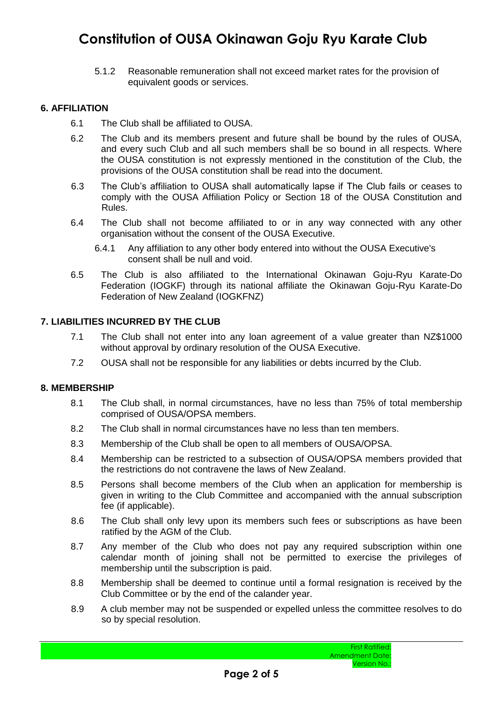5.1.2 Reasonable remuneration shall not exceed market rates for the provision of equivalent goods or services.

#### **6. AFFILIATION**

- 6.1 The Club shall be affiliated to OUSA.
- 6.2 The Club and its members present and future shall be bound by the rules of OUSA, and every such Club and all such members shall be so bound in all respects. Where the OUSA constitution is not expressly mentioned in the constitution of the Club, the provisions of the OUSA constitution shall be read into the document.
- 6.3 The Club's affiliation to OUSA shall automatically lapse if The Club fails or ceases to comply with the OUSA Affiliation Policy or Section 18 of the OUSA Constitution and Rules.
- 6.4 The Club shall not become affiliated to or in any way connected with any other organisation without the consent of the OUSA Executive.
	- 6.4.1 Any affiliation to any other body entered into without the OUSA Executive's consent shall be null and void.
- 6.5 The Club is also affiliated to the International Okinawan Goju-Ryu Karate-Do Federation (IOGKF) through its national affiliate the Okinawan Goju-Ryu Karate-Do Federation of New Zealand (IOGKFNZ)

#### **7. LIABILITIES INCURRED BY THE CLUB**

- 7.1 The Club shall not enter into any loan agreement of a value greater than NZ\$1000 without approval by ordinary resolution of the OUSA Executive.
- 7.2 OUSA shall not be responsible for any liabilities or debts incurred by the Club.

#### **8. MEMBERSHIP**

- 8.1 The Club shall, in normal circumstances, have no less than 75% of total membership comprised of OUSA/OPSA members.
- 8.2 The Club shall in normal circumstances have no less than ten members.
- 8.3 Membership of the Club shall be open to all members of OUSA/OPSA.
- 8.4 Membership can be restricted to a subsection of OUSA/OPSA members provided that the restrictions do not contravene the laws of New Zealand.
- 8.5 Persons shall become members of the Club when an application for membership is given in writing to the Club Committee and accompanied with the annual subscription fee (if applicable).
- 8.6 The Club shall only levy upon its members such fees or subscriptions as have been ratified by the AGM of the Club.
- 8.7 Any member of the Club who does not pay any required subscription within one calendar month of joining shall not be permitted to exercise the privileges of membership until the subscription is paid.
- 8.8 Membership shall be deemed to continue until a formal resignation is received by the Club Committee or by the end of the calander year.
- 8.9 A club member may not be suspended or expelled unless the committee resolves to do so by special resolution.

First Ratified: Amendment Date: Version No.: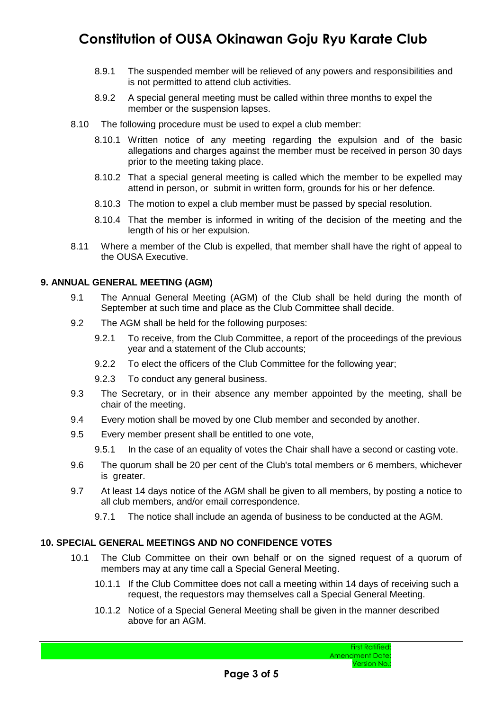- 8.9.1 The suspended member will be relieved of any powers and responsibilities and is not permitted to attend club activities.
- 8.9.2 A special general meeting must be called within three months to expel the member or the suspension lapses.
- 8.10 The following procedure must be used to expel a club member:
	- 8.10.1 Written notice of any meeting regarding the expulsion and of the basic allegations and charges against the member must be received in person 30 days prior to the meeting taking place.
	- 8.10.2 That a special general meeting is called which the member to be expelled may attend in person, or submit in written form, grounds for his or her defence.
	- 8.10.3 The motion to expel a club member must be passed by special resolution.
	- 8.10.4 That the member is informed in writing of the decision of the meeting and the length of his or her expulsion.
- 8.11 Where a member of the Club is expelled, that member shall have the right of appeal to the OUSA Executive.

#### **9. ANNUAL GENERAL MEETING (AGM)**

- 9.1 The Annual General Meeting (AGM) of the Club shall be held during the month of September at such time and place as the Club Committee shall decide.
- 9.2 The AGM shall be held for the following purposes:
	- 9.2.1 To receive, from the Club Committee, a report of the proceedings of the previous year and a statement of the Club accounts;
	- 9.2.2 To elect the officers of the Club Committee for the following year;
	- 9.2.3 To conduct any general business.
- 9.3 The Secretary, or in their absence any member appointed by the meeting, shall be chair of the meeting.
- 9.4 Every motion shall be moved by one Club member and seconded by another.
- 9.5 Every member present shall be entitled to one vote,
	- 9.5.1 In the case of an equality of votes the Chair shall have a second or casting vote.
- 9.6 The quorum shall be 20 per cent of the Club's total members or 6 members, whichever is greater.
- 9.7 At least 14 days notice of the AGM shall be given to all members, by posting a notice to all club members, and/or email correspondence.
	- 9.7.1 The notice shall include an agenda of business to be conducted at the AGM.

### **10. SPECIAL GENERAL MEETINGS AND NO CONFIDENCE VOTES**

- 10.1 The Club Committee on their own behalf or on the signed request of a quorum of members may at any time call a Special General Meeting.
	- 10.1.1 If the Club Committee does not call a meeting within 14 days of receiving such a request, the requestors may themselves call a Special General Meeting.
	- 10.1.2 Notice of a Special General Meeting shall be given in the manner described above for an AGM.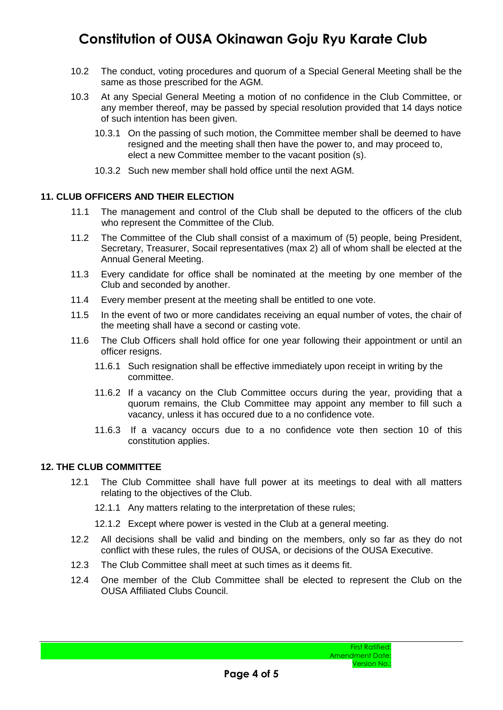- 10.2 The conduct, voting procedures and quorum of a Special General Meeting shall be the same as those prescribed for the AGM.
- 10.3 At any Special General Meeting a motion of no confidence in the Club Committee, or any member thereof, may be passed by special resolution provided that 14 days notice of such intention has been given.
	- 10.3.1 On the passing of such motion, the Committee member shall be deemed to have resigned and the meeting shall then have the power to, and may proceed to, elect a new Committee member to the vacant position (s).
	- 10.3.2 Such new member shall hold office until the next AGM.

#### **11. CLUB OFFICERS AND THEIR ELECTION**

- 11.1 The management and control of the Club shall be deputed to the officers of the club who represent the Committee of the Club.
- 11.2 The Committee of the Club shall consist of a maximum of (5) people, being President, Secretary, Treasurer, Socail representatives (max 2) all of whom shall be elected at the Annual General Meeting.
- 11.3 Every candidate for office shall be nominated at the meeting by one member of the Club and seconded by another.
- 11.4 Every member present at the meeting shall be entitled to one vote.
- 11.5 In the event of two or more candidates receiving an equal number of votes, the chair of the meeting shall have a second or casting vote.
- 11.6 The Club Officers shall hold office for one year following their appointment or until an officer resigns.
	- 11.6.1 Such resignation shall be effective immediately upon receipt in writing by the committee.
	- 11.6.2 If a vacancy on the Club Committee occurs during the year, providing that a quorum remains, the Club Committee may appoint any member to fill such a vacancy, unless it has occured due to a no confidence vote.
	- 11.6.3 If a vacancy occurs due to a no confidence vote then section 10 of this constitution applies.

#### **12. THE CLUB COMMITTEE**

- 12.1 The Club Committee shall have full power at its meetings to deal with all matters relating to the objectives of the Club.
	- 12.1.1 Any matters relating to the interpretation of these rules;
	- 12.1.2 Except where power is vested in the Club at a general meeting.
- 12.2 All decisions shall be valid and binding on the members, only so far as they do not conflict with these rules, the rules of OUSA, or decisions of the OUSA Executive.
- 12.3 The Club Committee shall meet at such times as it deems fit.
- 12.4 One member of the Club Committee shall be elected to represent the Club on the OUSA Affiliated Clubs Council.